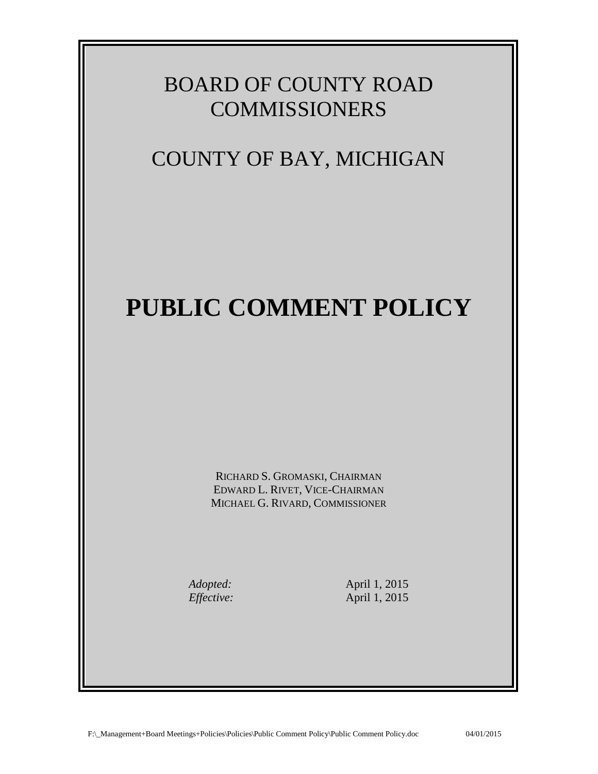## BOARD OF COUNTY ROAD **COMMISSIONERS**

## COUNTY OF BAY, MICHIGAN

## **PUBLIC COMMENT POLICY**

RICHARD S. GROMASKI, CHAIRMAN EDWARD L. RIVET, VICE-CHAIRMAN MICHAEL G. RIVARD, COMMISSIONER

*Adopted:* April 1, 2015<br>*Effective:* April 1, 2015 *Effective:* April 1, 2015